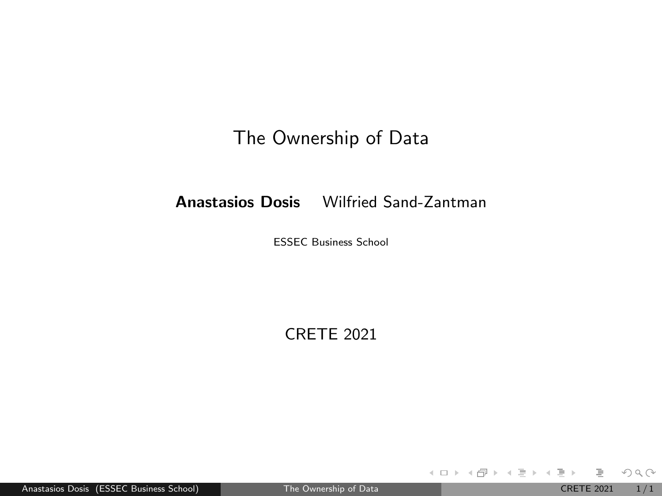### The Ownership of Data

### <span id="page-0-0"></span>Anastasios Dosis Wilfried Sand-Zantman

ESSEC Business School

CRETE 2021

Anastasios Dosis (ESSEC Business School) [The Ownership of Data](#page-0-0) CRETE 2021 1/1

目

 $OQ$ 

 $4\equiv 1.4\pm0.0003\pm0.00004\pm0.00004$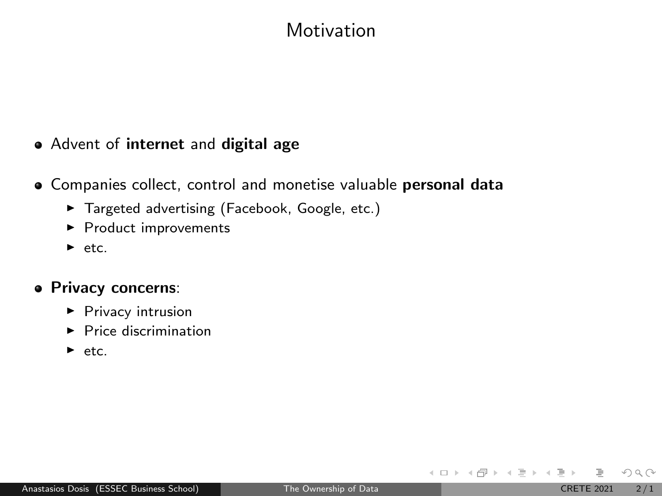## Motivation

### • Advent of internet and digital age

- **•** Companies collect, control and monetise valuable personal data
	- $\blacktriangleright$  Targeted advertising (Facebook, Google, etc.)
	- $\blacktriangleright$  Product improvements
	- $\blacktriangleright$  etc.

#### Privacy concerns:

- $\blacktriangleright$  Privacy intrusion
- $\blacktriangleright$  Price discrimination
- $\blacktriangleright$  etc.

 $OQ$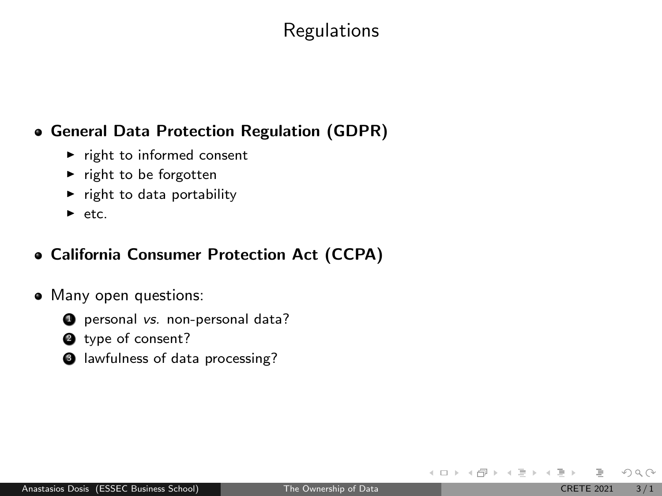## Regulations

### General Data Protection Regulation (GDPR)

- $\blacktriangleright$  right to informed consent
- $\blacktriangleright$  right to be forgotten
- $\blacktriangleright$  right to data portability
- $\blacktriangleright$  etc.

### California Consumer Protection Act (CCPA)

- Many open questions:
	- **4** personal vs. non-personal data?
	- <sup>2</sup> type of consent?
	- <sup>3</sup> lawfulness of data processing?

 $OQ$ 

イロト イ部 トイヨ トイヨト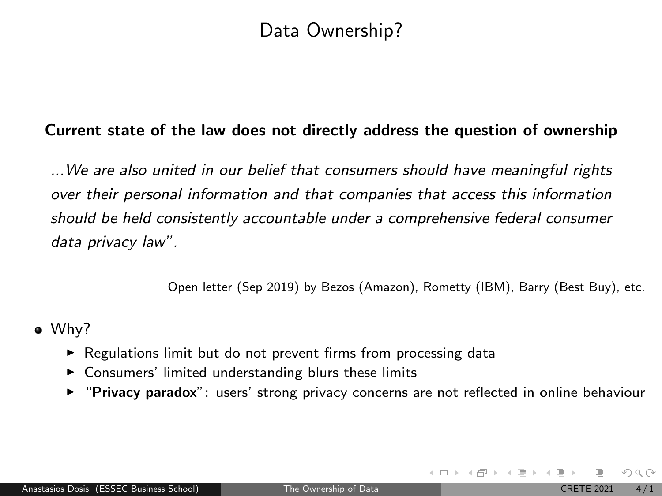## Data Ownership?

#### Current state of the law does not directly address the question of ownership

...We are also united in our belief that consumers should have meaningful rights over their personal information and that companies that access this information should be held consistently accountable under a comprehensive federal consumer data privacy law".

Open letter (Sep 2019) by Bezos (Amazon), Rometty (IBM), Barry (Best Buy), etc.

- Why?
	- $\triangleright$  Regulations limit but do not prevent firms from processing data
	- $\triangleright$  Consumers' limited understanding blurs these limits
	- **F** "Privacy paradox": users' strong privacy concerns are not reflected in online behaviour

 $OQ$ 

 $\left\{ \begin{array}{ccc} 1 & 0 & 0 \\ 0 & 1 & 0 \end{array} \right\}$  ,  $\left\{ \begin{array}{ccc} 0 & 0 & 0 \\ 0 & 0 & 0 \end{array} \right\}$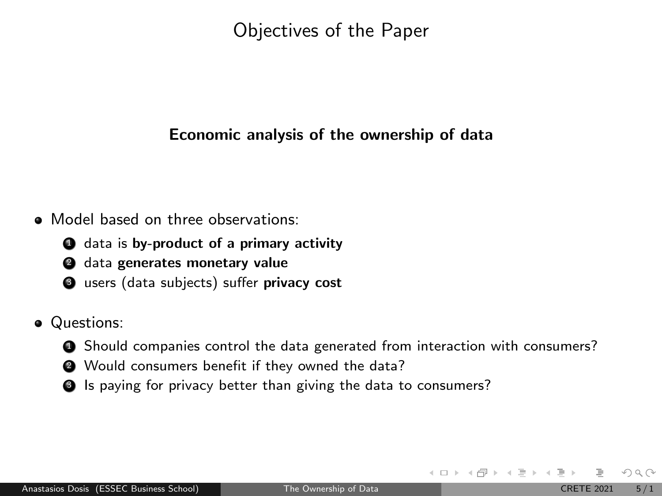Objectives of the Paper

#### Economic analysis of the ownership of data

- Model based on three observations:
	- **4** data is by-product of a primary activity
	- <sup>2</sup> data generates monetary value
	- **3** users (data subjects) suffer privacy cost
- Questions:
	- **4** Should companies control the data generated from interaction with consumers?
	- <sup>2</sup> Would consumers benefit if they owned the data?
	- **3** Is paying for privacy better than giving the data to consumers?

 $OQ$ 

 $4$  ロ }  $4$   $\overline{m}$  }  $4$   $\overline{\Xi}$  }  $4$   $\overline{\Xi}$  }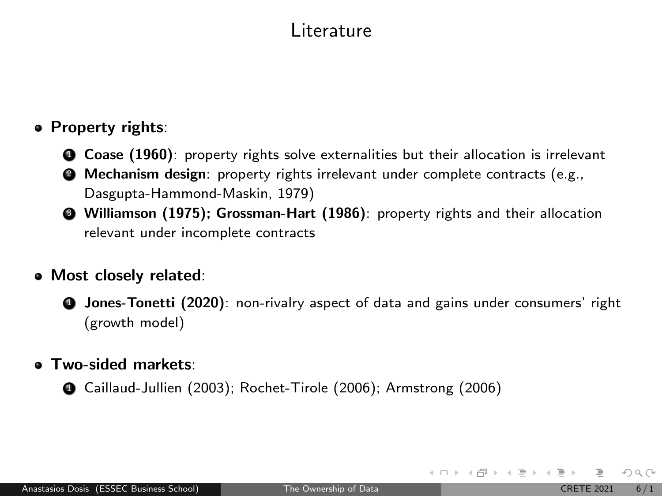## Literature

### **• Property rights:**

- **4 Coase (1960):** property rights solve externalities but their allocation is irrelevant
- **2** Mechanism design: property rights irrelevant under complete contracts (e.g., Dasgupta-Hammond-Maskin, 1979)
- <sup>3</sup> Williamson (1975); Grossman-Hart (1986): property rights and their allocation relevant under incomplete contracts

#### Most closely related:

**4** Jones-Tonetti (2020): non-rivalry aspect of data and gains under consumers' right (growth model)

#### Two-sided markets:

<sup>1</sup> Caillaud-Jullien (2003); Rochet-Tirole (2006); Armstrong (2006)

 $OQ$ 

イロト イ何 トイヨト イヨト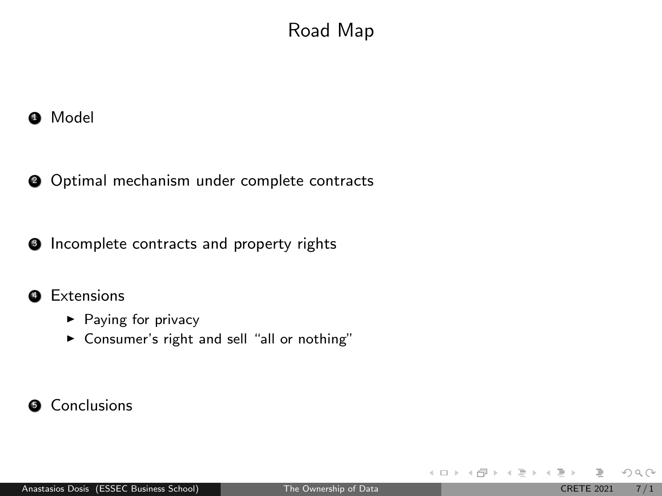# Road Map

 $\bullet$  Model

<sup>2</sup> Optimal mechanism under complete contracts

**3** Incomplete contracts and property rights

#### **4** Extensions

- $\blacktriangleright$  Paying for privacy
- ▶ Consumer's right and sell "all or nothing"

### **6** Conclusions

 $OQ$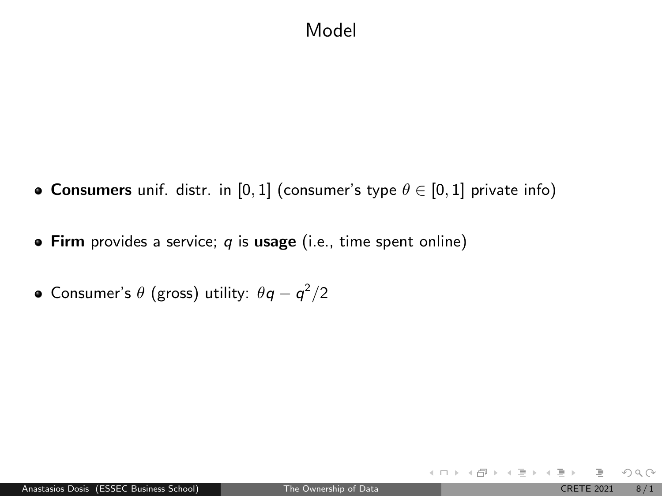## Model

- **Consumers** unif. distr. in [0, 1] (consumer's type  $\theta \in [0, 1]$  private info)
- **Firm** provides a service;  $q$  is usage (i.e., time spent online)
- Consumer's  $\theta$  (gross) utility:  $\theta q q^2/2$

 $2Q$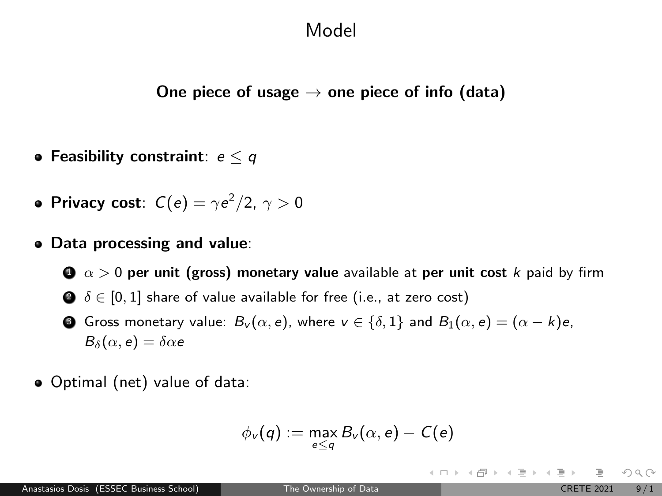### Model

One piece of usage  $\rightarrow$  one piece of info (data)

- Feasibility constraint:  $e < q$
- Privacy cost:  $C(e) = \gamma e^2/2, \ \gamma > 0$
- Data processing and value:

 $\bullet \ \alpha > 0$  per unit (gross) monetary value available at per unit cost k paid by firm  $\bullet$   $\delta \in [0,1]$  share of value available for free (i.e., at zero cost)

- **3** Gross monetary value:  $B_v(\alpha, e)$ , where  $v \in \{\delta, 1\}$  and  $B_1(\alpha, e) = (\alpha k)e$ ,  $B_\delta(\alpha, e) = \delta \alpha e$
- Optimal (net) value of data:

$$
\phi_v(q):=\max_{e\leq q}B_v(\alpha,e)-C(e)
$$

 $OQ$ 

イロト イ部 トイヨ トイヨト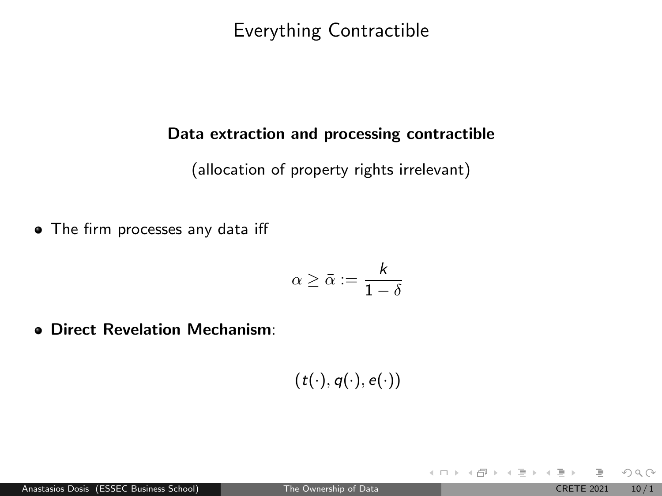Everything Contractible

#### Data extraction and processing contractible

(allocation of property rights irrelevant)

• The firm processes any data iff

$$
\alpha\geq \bar{\alpha}:=\frac{k}{1-\delta}
$$

Direct Revelation Mechanism:

 $(t(\cdot), q(\cdot), e(\cdot))$ 

 $OQ$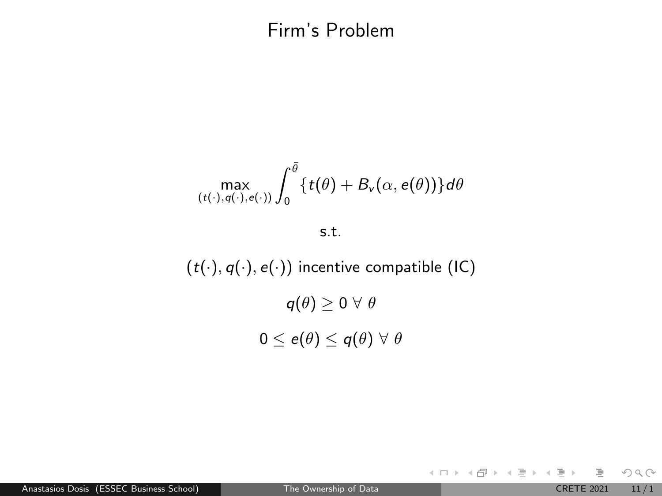## Firm's Problem

$$
\max_{(t(\cdot),q(\cdot),e(\cdot))}\int_0^{\bar\theta}\{t(\theta)+B_\nu(\alpha,e(\theta))\}d\theta
$$

s.t.

 $(t(\cdot), q(\cdot), e(\cdot))$  incentive compatible (IC)  $q(\theta) \geq 0 \,\forall \,\theta$  $0 \leq e(\theta) \leq q(\theta) \ \forall \ \theta$ 

 $OQ$ 

イロト イ部 トイミト イヨト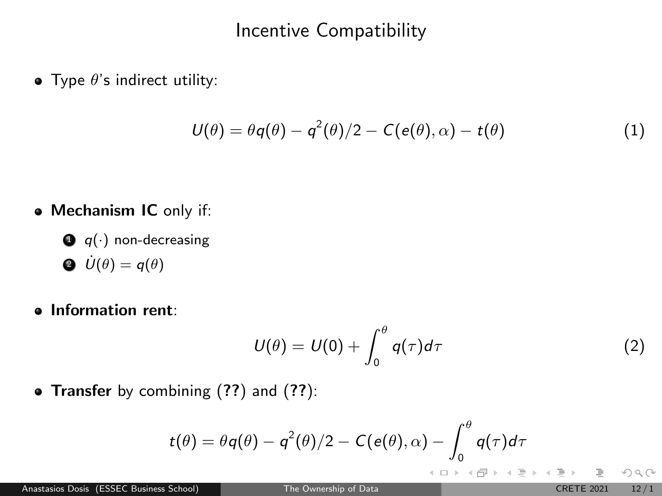## Incentive Compatibility

• Type  $\theta$ 's indirect utility:

<span id="page-11-0"></span>
$$
U(\theta) = \theta q(\theta) - q^2(\theta)/2 - C(e(\theta), \alpha) - t(\theta)
$$
\n(1)

- Mechanism IC only if:
	- $\bigcirc$  q(·) non-decreasing  $\dot{U}(\theta) = q(\theta)$
- Information rent:

<span id="page-11-1"></span>
$$
U(\theta) = U(0) + \int_0^{\theta} q(\tau) d\tau
$$
 (2)

イロト イ部 トイモト イモト

• Transfer by combining  $(??)$  $(??)$  $(??)$  and  $(??)$ :

$$
t(\theta) = \theta q(\theta) - q^2(\theta)/2 - C(e(\theta), \alpha) - \int_0^{\theta} q(\tau) d\tau
$$

 $OQ$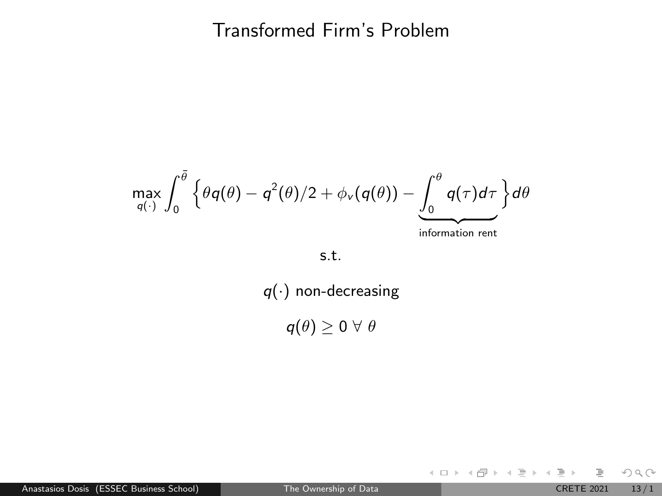### Transformed Firm's Problem

$$
\max_{q(\cdot)} \int_0^{\bar{\theta}} \left\{ \theta q(\theta) - q^2(\theta)/2 + \phi_{\nu}(q(\theta)) - \underbrace{\int_0^{\theta} q(\tau) d\tau}_{\text{information rent}} \right\} d\theta
$$

s.t.

 $q(\cdot)$  non-decreasing

 $q(\theta) \geq 0 \,\forall \,\theta$ 

Anastasios Dosis (ESSEC Business School) [The Ownership of Data](#page-0-0) CRETE 2021 13/1

 $OQ$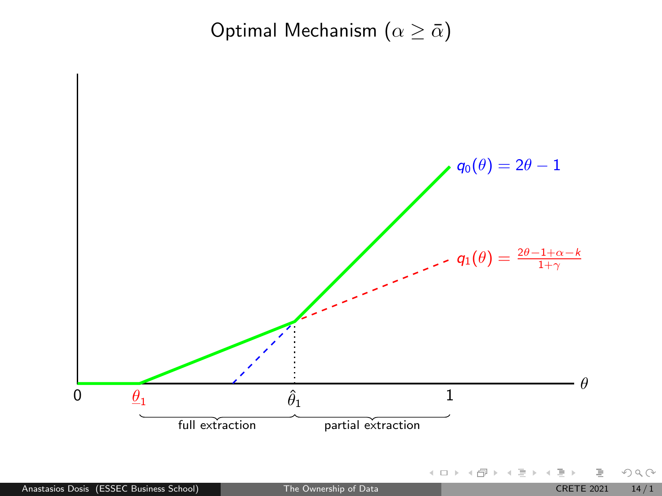Optimal Mechanism ( $\alpha \geq \bar{\alpha}$ )

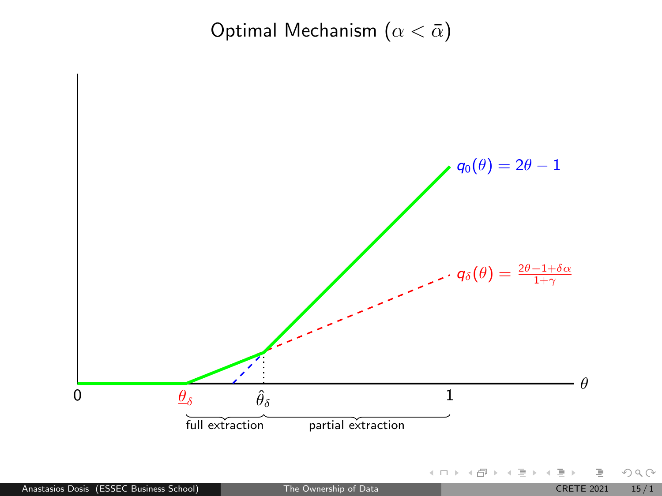Optimal Mechanism  $(\alpha < \bar{\alpha})$ 

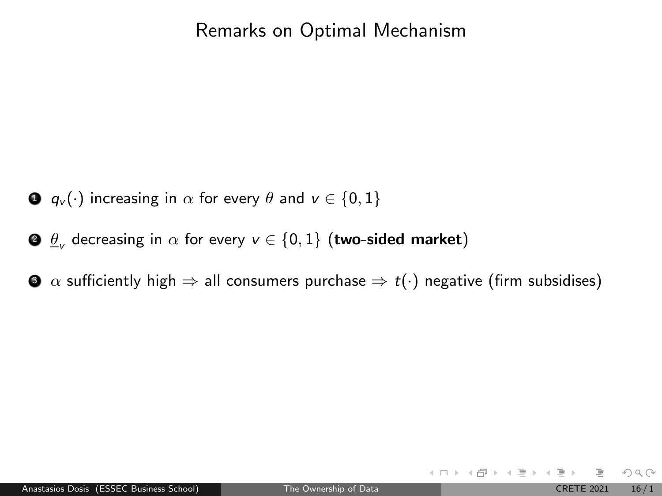### Remarks on Optimal Mechanism

- $\bullet$   $q_v(\cdot)$  increasing in  $\alpha$  for every  $\theta$  and  $v \in \{0, 1\}$
- $\bullet$   $\underline{\theta}_\mathsf{v}$  decreasing in  $\alpha$  for every  $\mathsf{v}\in\{0,1\}$   $(\mathsf{two}\text{-sided market})$
- $\bullet$   $\alpha$  sufficiently high  $\Rightarrow$  all consumers purchase  $\Rightarrow$  t(·) negative (firm subsidises)

 $OQ$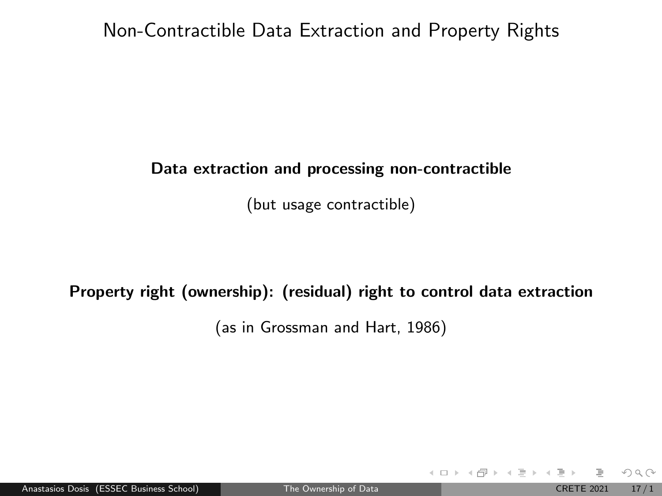### Non-Contractible Data Extraction and Property Rights

#### Data extraction and processing non-contractible

(but usage contractible)

### Property right (ownership): (residual) right to control data extraction

(as in Grossman and Hart, 1986)

 $OQ$ 

イロト イ部 トイヨ トイヨト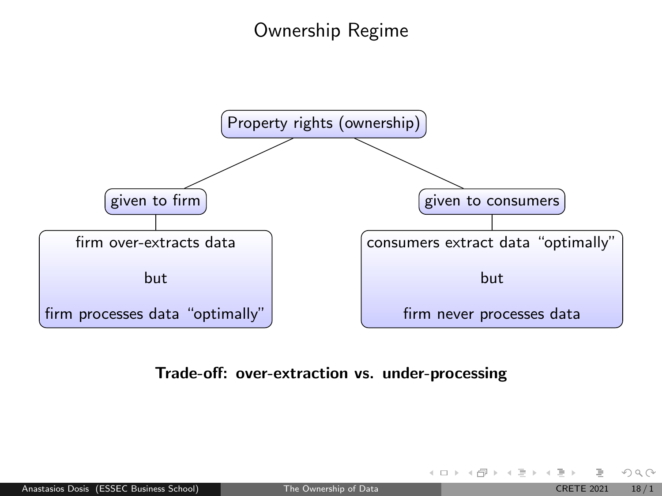## Ownership Regime



### Trade-off: over-extraction vs. under-processing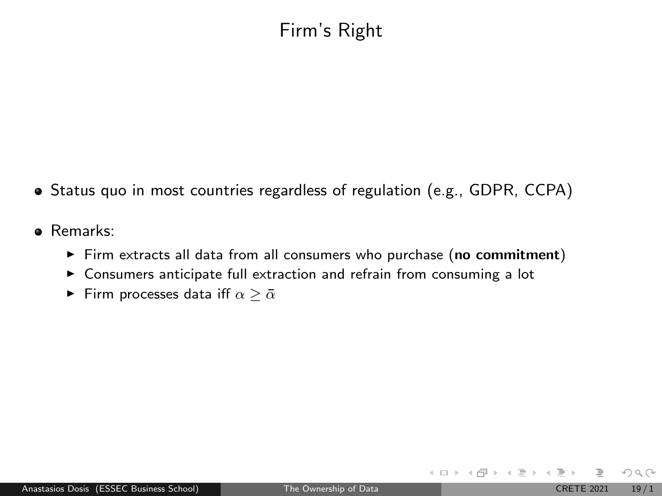## Firm's Right

- Status quo in most countries regardless of regulation (e.g., GDPR, CCPA)
- Remarks:
	- $\triangleright$  Firm extracts all data from all consumers who purchase (no commitment)
	- $\triangleright$  Consumers anticipate full extraction and refrain from consuming a lot
	- Firm processes data iff  $\alpha \geq \bar{\alpha}$

 $OQ$ 

イロト イ部 トイヨ トイヨト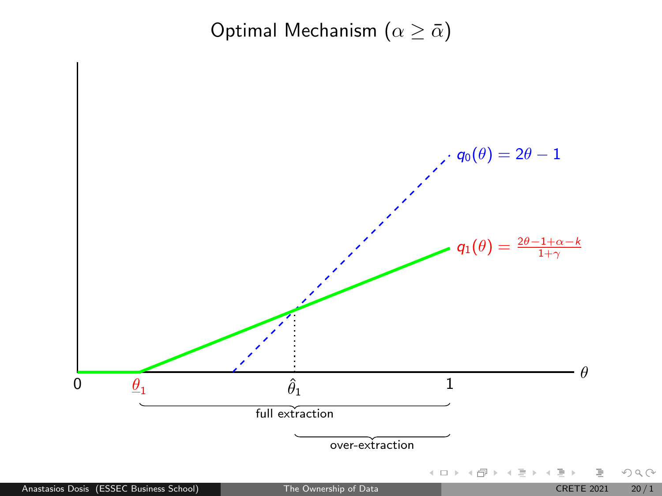Optimal Mechanism ( $\alpha \geq \bar{\alpha}$ )

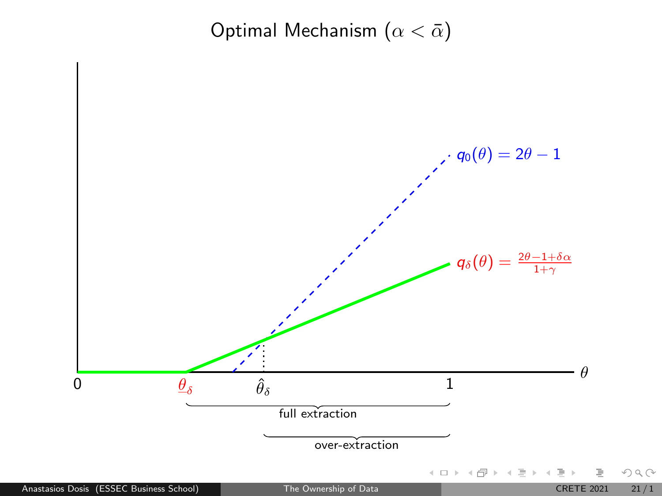Optimal Mechanism  $(\alpha < \bar{\alpha})$ 

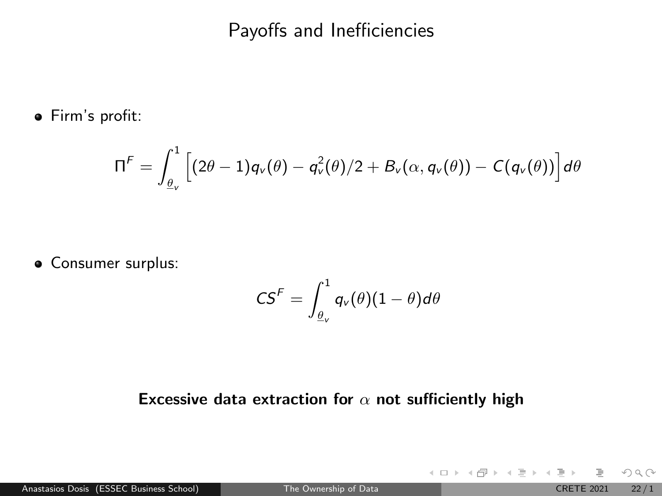### Payoffs and Inefficiencies

Firm's profit:

$$
\Pi^F = \int_{\underline{\theta}_V}^1 \left[ (2\theta - 1) q_V(\theta) - q_V^2(\theta)/2 + B_V(\alpha, q_V(\theta)) - C(q_V(\theta)) \right] d\theta
$$

**·** Consumer surplus:

$$
\mathsf{CS}^{\mathsf{F}}=\int_{\underline{\theta}_{\mathsf{v}}}^1q_{\mathsf{v}}(\theta)(1-\theta)d\theta
$$

#### Excessive data extraction for  $\alpha$  not sufficiently high

 $OQ$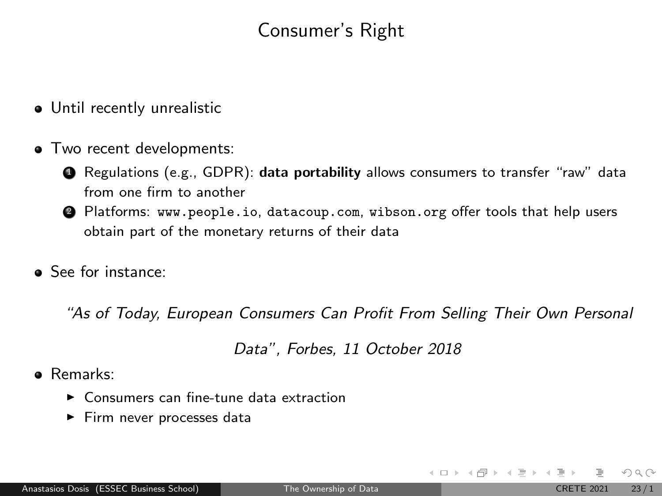## Consumer's Right

- Until recently unrealistic
- $\bullet$  Two recent developments:
	- **4** Regulations (e.g., GDPR): data portability allows consumers to transfer "raw" data from one firm to another
	- <sup>2</sup> Platforms: <www.people.io>, <datacoup.com>, <wibson.org> offer tools that help users obtain part of the monetary returns of their data
- **•** See for instance:

"As of Today, European Consumers Can Profit From Selling Their Own Personal

Data", Forbes, 11 October 2018

- Remarks:
	- $\blacktriangleright$  Consumers can fine-tune data extraction
	- $\blacktriangleright$  Firm never processes data

 $OQ$ 

 $\left\{ \begin{array}{ccc} 1 & 0 & 0 \\ 0 & 1 & 0 \end{array} \right\}$  ,  $\left\{ \begin{array}{ccc} 0 & 0 & 0 \\ 0 & 0 & 0 \end{array} \right\}$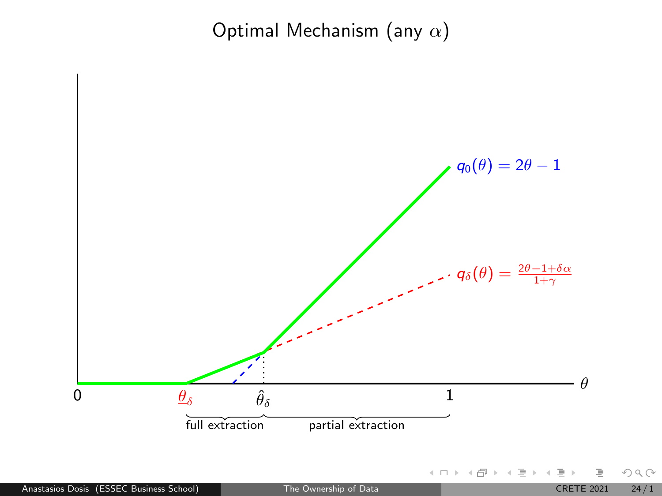Optimal Mechanism (any  $\alpha$ )

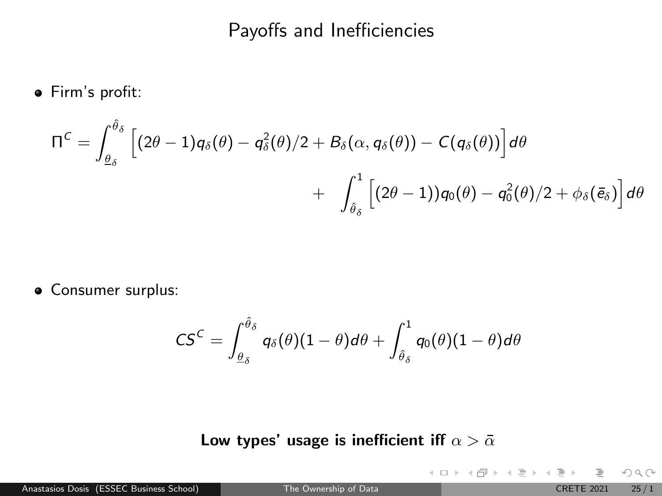## Payoffs and Inefficiencies

Firm's profit:

$$
\Pi^C = \int_{\theta_\delta}^{\hat{\theta}_\delta} \left[ (2\theta - 1) q_\delta(\theta) - q_\delta^2(\theta)/2 + B_\delta(\alpha, q_\delta(\theta)) - C(q_\delta(\theta)) \right] d\theta
$$
  
+ 
$$
\int_{\hat{\theta}_\delta}^1 \left[ (2\theta - 1) q_0(\theta) - q_0^2(\theta)/2 + \phi_\delta(\bar{e}_\delta) \right] d\theta
$$

**•** Consumer surplus:

$$
\mathsf{CS}^{\mathsf{C}}=\int_{\underline{\theta}_{\delta}}^{\hat{\theta}_{\delta}} q_{\delta}(\theta)(1-\theta) d\theta+\int_{\hat{\theta}_{\delta}}^1 q_0(\theta)(1-\theta) d\theta
$$

### Low types' usage is inefficient iff  $\alpha > \bar{\alpha}$

 $OQ$ 

 $4\equiv 1.4\pm0.0003\pm0.00004\pm0.00004$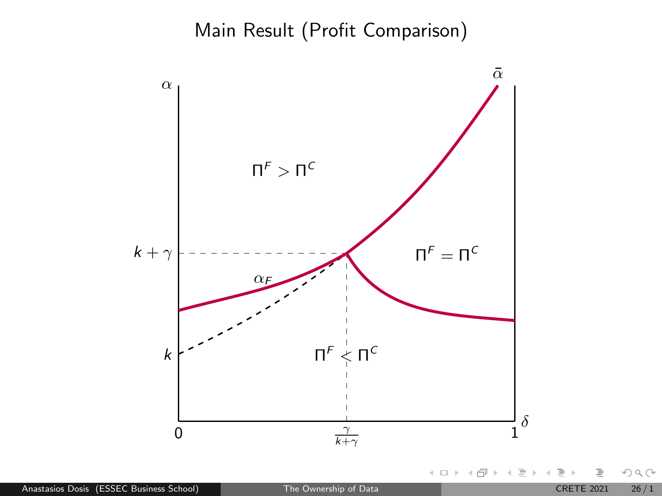Main Result (Profit Comparison)



Anastasios Dosis (ESSEC Business School) [The Ownership of Data](#page-0-0) CRETE 2021 26/1

 $OQ$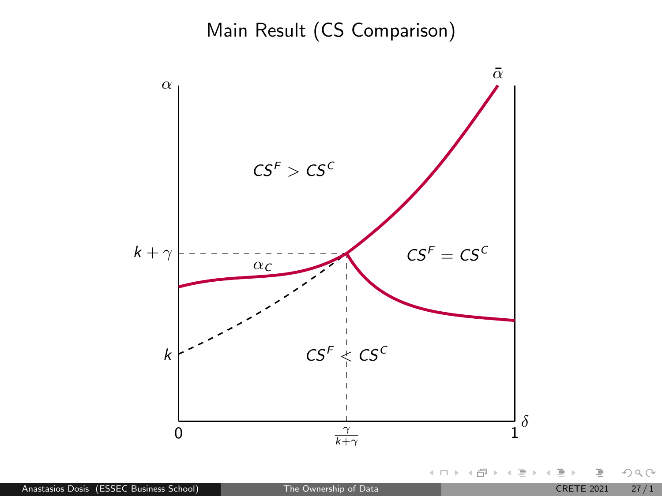Main Result (CS Comparison)



 $OQ$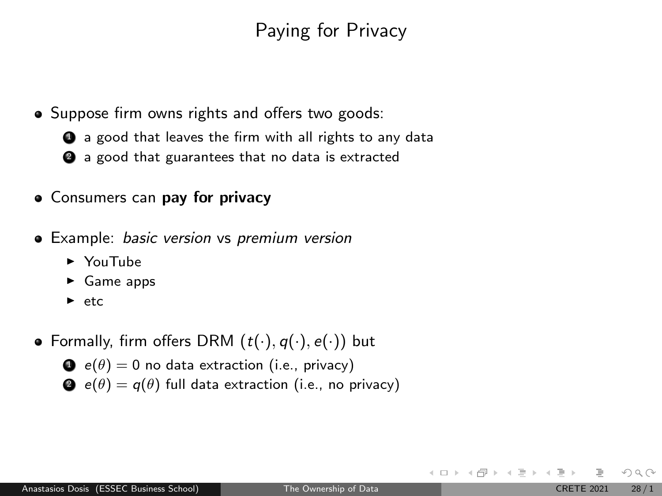## Paying for Privacy

• Suppose firm owns rights and offers two goods:

**4** a good that leaves the firm with all rights to any data

- **2** a good that guarantees that no data is extracted
- Consumers can pay for privacy
- Example: basic version vs premium version
	- $\blacktriangleright$  YouTube
	- $\triangleright$  Game apps
	- $\blacktriangleright$  etc
- Formally, firm offers DRM  $(t(\cdot), q(\cdot), e(\cdot))$  but

$$
e(\theta) = 0
$$
 no data extraction (i.e., privacy)

 $\bullet$  e( $\theta$ ) = q( $\theta$ ) full data extraction (i.e., no privacy)

 $OQ$ 

 $4$  ロ }  $4$   $\overline{m}$  }  $4$   $\overline{\Xi}$  }  $4$   $\overline{\Xi}$  }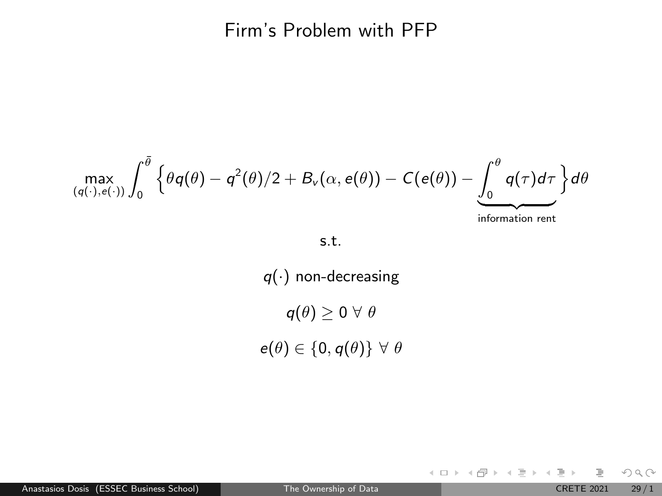### Firm's Problem with PFP

$$
\max_{(q(\cdot), e(\cdot))}\int_0^{\bar{\theta}} \left\{\theta q(\theta) - q^2(\theta)/2 + B_{\nu}(\alpha, e(\theta)) - C(e(\theta)) - \underbrace{\int_0^{\theta} q(\tau) d\tau}_{\text{information rent}}\right\} d\theta
$$

#### s.t.

 $q(\cdot)$  non-decreasing  $q(\theta) \geq 0 \,\forall \,\theta$  $e(\theta) \in \{0, q(\theta)\} \ \forall \ \theta$ 

Anastasios Dosis (ESSEC Business School) [The Ownership of Data](#page-0-0) CRETE 2021 29/1

È

 $OQ$ 

イロト イ部 トイヨ トイヨト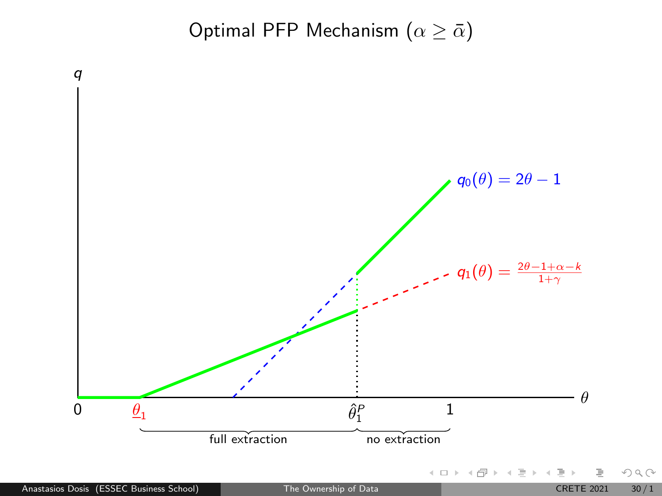Optimal PFP Mechanism  $(\alpha \geq \bar{\alpha})$ 

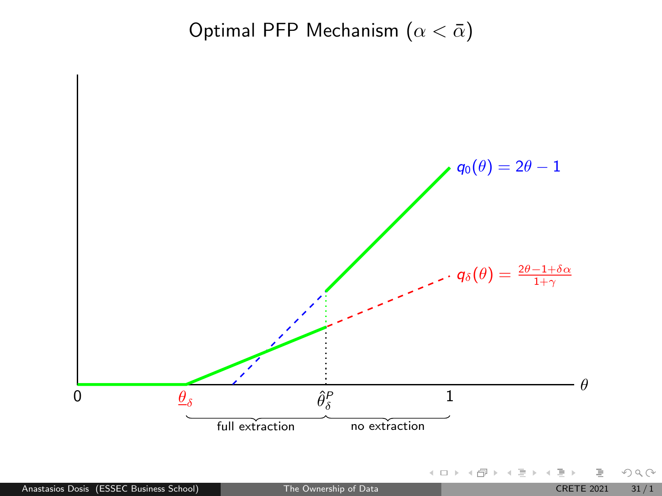Optimal PFP Mechanism  $(\alpha < \bar{\alpha})$ 



 $OQ$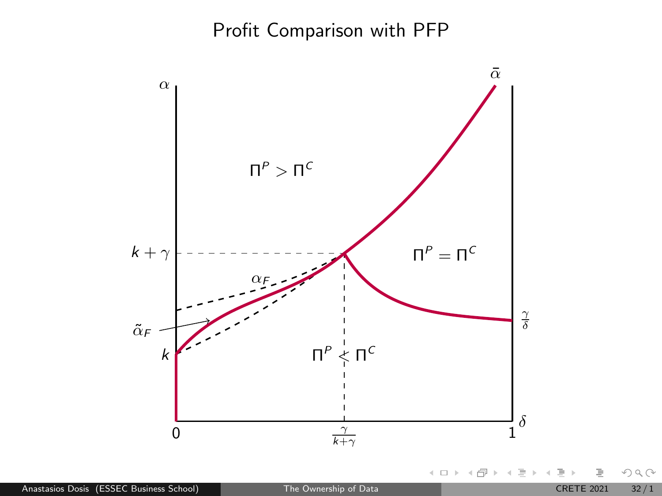## Profit Comparison with PFP



Anastasios Dosis (ESSEC Business School) [The Ownership of Data](#page-0-0) CRETE 2021 32/1

 $\begin{picture}(160,170) \put(0,0){\line(1,0){10}} \put(10,0){\line(1,0){10}} \put(10,0){\line(1,0){10}} \put(10,0){\line(1,0){10}} \put(10,0){\line(1,0){10}} \put(10,0){\line(1,0){10}} \put(10,0){\line(1,0){10}} \put(10,0){\line(1,0){10}} \put(10,0){\line(1,0){10}} \put(10,0){\line(1,0){10}} \put(10,0){\line(1,0){10}} \put(10,0){\line$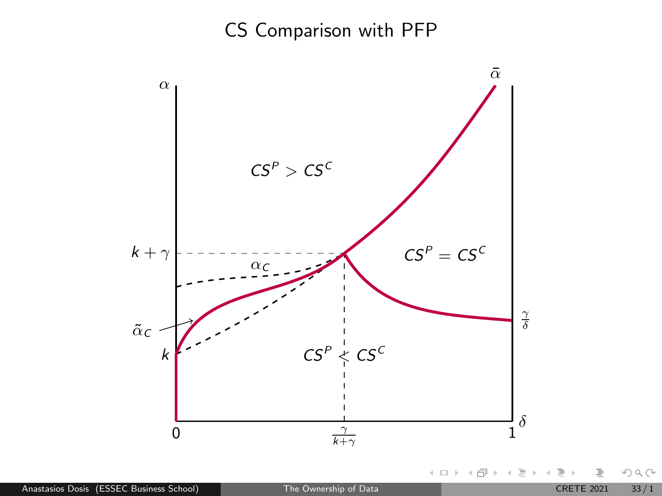# CS Comparison with PFP



 $OQ$